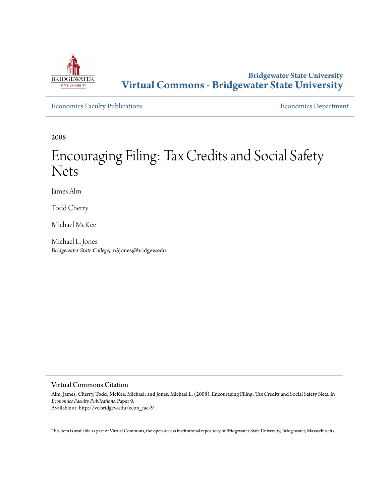

# **Bridgewater State University [Virtual Commons - Bridgewater State University](http://vc.bridgew.edu)**

[Economics Faculty Publications](http://vc.bridgew.edu/econ_fac) **Economics** Department

2008

# Encouraging Filing: Tax Credits and Social Safety Nets

James Alm

Todd Cherry

Michael McKee

Michael L. Jones *Bridgewater State College*, m3jones@bridgew.edu

#### Virtual Commons Citation

Alm, James; Cherry, Todd; McKee, Michael; and Jones, Michael L. (2008). Encouraging Filing: Tax Credits and Social Safety Nets. In *Economics Faculty Publications.* Paper 9. Available at: http://vc.bridgew.edu/econ\_fac/9

This item is available as part of Virtual Commons, the open-access institutional repository of Bridgewater State University, Bridgewater, Massachusetts.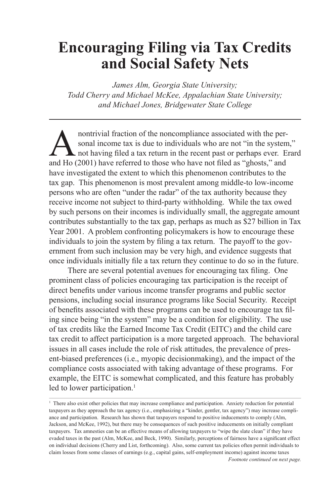# **Encouraging Filing via Tax Credits and Social Safety Nets**

*James Alm, Georgia State University; Todd Cherry and Michael McKee, Appalachian State University; and Michael Jones, Bridgewater State College*

**A** nontrivial fraction of the noncompliance associated with the per-<br>sonal income tax is due to individuals who are not "in the system<br>not having filed a tax return in the recent past or perhaps ever. E<br>and Ho (2001) have sonal income tax is due to individuals who are not "in the system." not having filed a tax return in the recent past or perhaps ever. Erard and Ho (2001) have referred to those who have not filed as "ghosts," and have investigated the extent to which this phenomenon contributes to the tax gap. This phenomenon is most prevalent among middle-to low-income persons who are often "under the radar" of the tax authority because they receive income not subject to third-party withholding. While the tax owed by such persons on their incomes is individually small, the aggregate amount contributes substantially to the tax gap, perhaps as much as \$27 billion in Tax Year 2001. A problem confronting policymakers is how to encourage these individuals to join the system by filing a tax return. The payoff to the government from such inclusion may be very high, and evidence suggests that once individuals initially file a tax return they continue to do so in the future.

There are several potential avenues for encouraging tax filing. One prominent class of policies encouraging tax participation is the receipt of direct benefits under various income transfer programs and public sector pensions, including social insurance programs like Social Security. Receipt of benefits associated with these programs can be used to encourage tax filing since being "in the system" may be a condition for eligibility. The use of tax credits like the Earned Income Tax Credit (EITC) and the child care tax credit to affect participation is a more targeted approach. The behavioral issues in all cases include the role of risk attitudes, the prevalence of present-biased preferences (i.e., myopic decisionmaking), and the impact of the compliance costs associated with taking advantage of these programs. For example, the EITC is somewhat complicated, and this feature has probably led to lower participation.<sup>1</sup>

<sup>1</sup> There also exist other policies that may increase compliance and participation. Anxiety reduction for potential taxpayers as they approach the tax agency (i.e., emphasizing a "kinder, gentler, tax agency") may increase compliance and participation. Research has shown that taxpayers respond to positive inducements to comply (Alm, Jackson, and McKee, 1992), but there may be consequences of such positive inducements on initially compliant taxpayers. Tax amnesties can be an effective means of allowing taxpayers to "wipe the slate clean" if they have evaded taxes in the past (Alm, McKee, and Beck, 1990). Similarly, perceptions of fairness have a significant effect on individual decisions (Cherry and List, forthcoming). Also, some current tax policies often permit individuals to claim losses from some classes of earnings (e.g., capital gains, self-employment income) against income taxes *Footnote continued on next page.*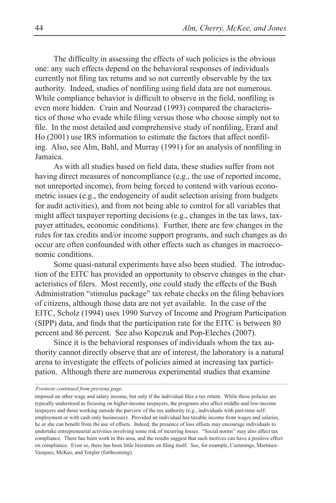The difficulty in assessing the effects of such policies is the obvious one: any such effects depend on the behavioral responses of individuals currently not filing tax returns and so not currently observable by the tax authority. Indeed, studies of nonfiling using field data are not numerous. While compliance behavior is difficult to observe in the field, nonfiling is even more hidden. Crain and Nourzad (1993) compared the characteristics of those who evade while filing versus those who choose simply not to file. In the most detailed and comprehensive study of nonfiling, Erard and Ho (2001) use IRS information to estimate the factors that affect nonfiling. Also, see Alm, Bahl, and Murray (1991) for an analysis of nonfiling in Jamaica.

As with all studies based on field data, these studies suffer from not having direct measures of noncompliance (e.g., the use of reported income, not unreported income), from being forced to contend with various econometric issues (e.g., the endogeneity of audit selection arising from budgets for audit activities), and from not being able to control for all variables that might affect taxpayer reporting decisions (e.g., changes in the tax laws, taxpayer attitudes, economic conditions). Further, there are few changes in the rules for tax credits and/or income support programs, and such changes as do occur are often confounded with other effects such as changes in macroeconomic conditions.

Some quasi-natural experiments have also been studied. The introduction of the EITC has provided an opportunity to observe changes in the characteristics of filers. Most recently, one could study the effects of the Bush Administration "stimulus package" tax rebate checks on the filing behaviors of citizens, although those data are not yet available. In the case of the EITC, Scholz (1994) uses 1990 Survey of Income and Program Participation (SIPP) data, and finds that the participation rate for the EITC is between 80 percent and 86 percent. See also Kopczuk and Pop-Eleches (2007).

Since it is the behavioral responses of individuals whom the tax authority cannot directly observe that are of interest, the laboratory is a natural arena to investigate the effects of policies aimed at increasing tax participation. Although there are numerous experimental studies that examine

*Footnote continued from previous page.*

imposed on other wage and salary income, but only if the individual files a tax return. While these policies are typically understood as focusing on higher-income taxpayers, the programs also affect middle-and low-income taxpayers and those working outside the purview of the tax authority (e.g., individuals with part-time selfemployment or with cash only businesses). Provided an individual has taxable income from wages and salaries, he or she can benefit from the use of offsets. Indeed, the presence of loss offsets may encourage individuals to undertake entrepreneurial activities involving some risk of incurring losses. "Social norms" may also affect tax compliance. There has been work in this area, and the results suggest that such motives can have a positive effect on compliance. Even so, there has been little literature on filing itself. See, for example, Cummings, Martinez-Vazquez, McKee, and Torgler (forthcoming).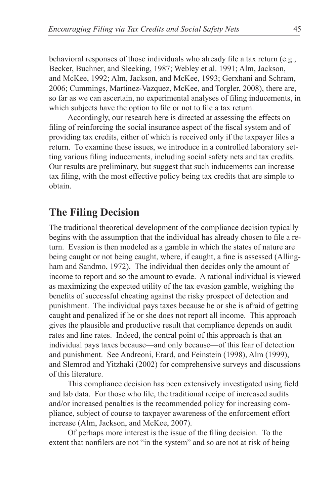behavioral responses of those individuals who already file a tax return (e.g., Becker, Buchner, and Sleeking, 1987; Webley et al. 1991; Alm, Jackson, and McKee, 1992; Alm, Jackson, and McKee, 1993; Gerxhani and Schram, 2006; Cummings, Martinez-Vazquez, McKee, and Torgler, 2008), there are, so far as we can ascertain, no experimental analyses of filing inducements, in which subjects have the option to file or not to file a tax return.

Accordingly, our research here is directed at assessing the effects on filing of reinforcing the social insurance aspect of the fiscal system and of providing tax credits, either of which is received only if the taxpayer files a return. To examine these issues, we introduce in a controlled laboratory setting various filing inducements, including social safety nets and tax credits. Our results are preliminary, but suggest that such inducements can increase tax filing, with the most effective policy being tax credits that are simple to obtain.

## **The Filing Decision**

The traditional theoretical development of the compliance decision typically begins with the assumption that the individual has already chosen to file a return. Evasion is then modeled as a gamble in which the states of nature are being caught or not being caught, where, if caught, a fine is assessed (Allingham and Sandmo, 1972). The individual then decides only the amount of income to report and so the amount to evade. A rational individual is viewed as maximizing the expected utility of the tax evasion gamble, weighing the benefits of successful cheating against the risky prospect of detection and punishment. The individual pays taxes because he or she is afraid of getting caught and penalized if he or she does not report all income. This approach gives the plausible and productive result that compliance depends on audit rates and fine rates. Indeed, the central point of this approach is that an individual pays taxes because—and only because—of this fear of detection and punishment. See Andreoni, Erard, and Feinstein (1998), Alm (1999), and Slemrod and Yitzhaki (2002) for comprehensive surveys and discussions of this literature.

This compliance decision has been extensively investigated using field and lab data. For those who file, the traditional recipe of increased audits and/or increased penalties is the recommended policy for increasing compliance, subject of course to taxpayer awareness of the enforcement effort increase (Alm, Jackson, and McKee, 2007).

Of perhaps more interest is the issue of the filing decision. To the extent that nonfilers are not "in the system" and so are not at risk of being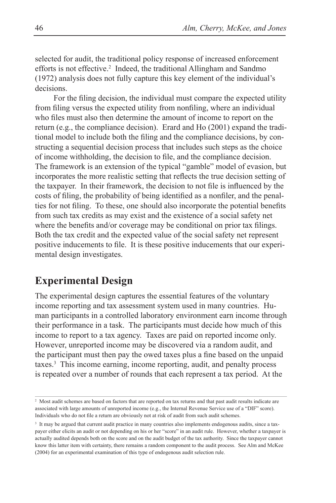selected for audit, the traditional policy response of increased enforcement efforts is not effective.<sup>2</sup> Indeed, the traditional Allingham and Sandmo (1972) analysis does not fully capture this key element of the individual's decisions.

For the filing decision, the individual must compare the expected utility from filing versus the expected utility from nonfiling, where an individual who files must also then determine the amount of income to report on the return (e.g., the compliance decision). Erard and Ho (2001) expand the traditional model to include both the filing and the compliance decisions, by constructing a sequential decision process that includes such steps as the choice of income withholding, the decision to file, and the compliance decision. The framework is an extension of the typical "gamble" model of evasion, but incorporates the more realistic setting that reflects the true decision setting of the taxpayer. In their framework, the decision to not file is influenced by the costs of filing, the probability of being identified as a nonfiler, and the penalties for not filing. To these, one should also incorporate the potential benefits from such tax credits as may exist and the existence of a social safety net where the benefits and/or coverage may be conditional on prior tax filings. Both the tax credit and the expected value of the social safety net represent positive inducements to file. It is these positive inducements that our experimental design investigates.

# **Experimental Design**

The experimental design captures the essential features of the voluntary income reporting and tax assessment system used in many countries. Human participants in a controlled laboratory environment earn income through their performance in a task. The participants must decide how much of this income to report to a tax agency. Taxes are paid on reported income only. However, unreported income may be discovered via a random audit, and the participant must then pay the owed taxes plus a fine based on the unpaid taxes.3 This income earning, income reporting, audit, and penalty process is repeated over a number of rounds that each represent a tax period. At the

<sup>2</sup> Most audit schemes are based on factors that are reported on tax returns and that past audit results indicate are associated with large amounts of unreported income (e.g., the Internal Revenue Service use of a "DIF" score). Individuals who do not file a return are obviously not at risk of audit from such audit schemes.

<sup>&</sup>lt;sup>3</sup> It may be argued that current audit practice in many countries also implements endogenous audits, since a taxpayer either elicits an audit or not depending on his or her "score" in an audit rule. However, whether a taxpayer is actually audited depends both on the score and on the audit budget of the tax authority. Since the taxpayer cannot know this latter item with certainty, there remains a random component to the audit process. See Alm and McKee (2004) for an experimental examination of this type of endogenous audit selection rule.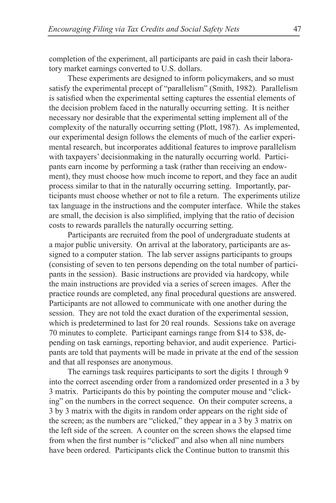completion of the experiment, all participants are paid in cash their laboratory market earnings converted to U.S. dollars.

These experiments are designed to inform policymakers, and so must satisfy the experimental precept of "parallelism" (Smith, 1982). Parallelism is satisfied when the experimental setting captures the essential elements of the decision problem faced in the naturally occurring setting. It is neither necessary nor desirable that the experimental setting implement all of the complexity of the naturally occurring setting (Plott, 1987). As implemented, our experimental design follows the elements of much of the earlier experimental research, but incorporates additional features to improve parallelism with taxpayers' decisionmaking in the naturally occurring world. Participants earn income by performing a task (rather than receiving an endowment), they must choose how much income to report, and they face an audit process similar to that in the naturally occurring setting. Importantly, participants must choose whether or not to file a return. The experiments utilize tax language in the instructions and the computer interface. While the stakes are small, the decision is also simplified, implying that the ratio of decision costs to rewards parallels the naturally occurring setting.

Participants are recruited from the pool of undergraduate students at a major public university. On arrival at the laboratory, participants are assigned to a computer station. The lab server assigns participants to groups (consisting of seven to ten persons depending on the total number of participants in the session). Basic instructions are provided via hardcopy, while the main instructions are provided via a series of screen images. After the practice rounds are completed, any final procedural questions are answered. Participants are not allowed to communicate with one another during the session. They are not told the exact duration of the experimental session, which is predetermined to last for 20 real rounds. Sessions take on average 70 minutes to complete. Participant earnings range from \$14 to \$38, depending on task earnings, reporting behavior, and audit experience. Participants are told that payments will be made in private at the end of the session and that all responses are anonymous.

The earnings task requires participants to sort the digits 1 through 9 into the correct ascending order from a randomized order presented in a 3 by 3 matrix. Participants do this by pointing the computer mouse and "clicking" on the numbers in the correct sequence. On their computer screens, a 3 by 3 matrix with the digits in random order appears on the right side of the screen; as the numbers are "clicked," they appear in a 3 by 3 matrix on the left side of the screen. A counter on the screen shows the elapsed time from when the first number is "clicked" and also when all nine numbers have been ordered. Participants click the Continue button to transmit this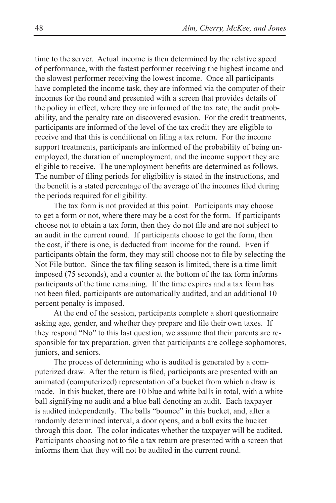time to the server. Actual income is then determined by the relative speed of performance, with the fastest performer receiving the highest income and the slowest performer receiving the lowest income. Once all participants have completed the income task, they are informed via the computer of their incomes for the round and presented with a screen that provides details of the policy in effect, where they are informed of the tax rate, the audit probability, and the penalty rate on discovered evasion. For the credit treatments, participants are informed of the level of the tax credit they are eligible to receive and that this is conditional on filing a tax return. For the income support treatments, participants are informed of the probability of being unemployed, the duration of unemployment, and the income support they are eligible to receive. The unemployment benefits are determined as follows. The number of filing periods for eligibility is stated in the instructions, and the benefit is a stated percentage of the average of the incomes filed during the periods required for eligibility.

The tax form is not provided at this point. Participants may choose to get a form or not, where there may be a cost for the form. If participants choose not to obtain a tax form, then they do not file and are not subject to an audit in the current round. If participants choose to get the form, then the cost, if there is one, is deducted from income for the round. Even if participants obtain the form, they may still choose not to file by selecting the Not File button. Since the tax filing season is limited, there is a time limit imposed (75 seconds), and a counter at the bottom of the tax form informs participants of the time remaining. If the time expires and a tax form has not been filed, participants are automatically audited, and an additional 10 percent penalty is imposed.

At the end of the session, participants complete a short questionnaire asking age, gender, and whether they prepare and file their own taxes. If they respond "No" to this last question, we assume that their parents are responsible for tax preparation, given that participants are college sophomores, juniors, and seniors.

The process of determining who is audited is generated by a computerized draw. After the return is filed, participants are presented with an animated (computerized) representation of a bucket from which a draw is made. In this bucket, there are 10 blue and white balls in total, with a white ball signifying no audit and a blue ball denoting an audit. Each taxpayer is audited independently. The balls "bounce" in this bucket, and, after a randomly determined interval, a door opens, and a ball exits the bucket through this door. The color indicates whether the taxpayer will be audited. Participants choosing not to file a tax return are presented with a screen that informs them that they will not be audited in the current round.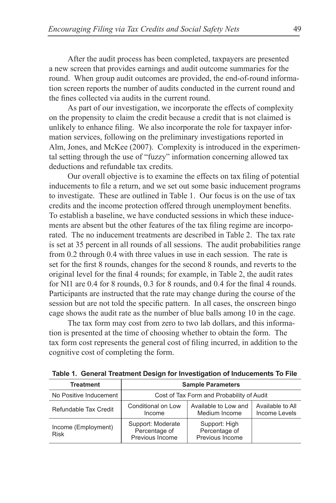After the audit process has been completed, taxpayers are presented a new screen that provides earnings and audit outcome summaries for the round. When group audit outcomes are provided, the end-of-round information screen reports the number of audits conducted in the current round and the fines collected via audits in the current round.

As part of our investigation, we incorporate the effects of complexity on the propensity to claim the credit because a credit that is not claimed is unlikely to enhance filing. We also incorporate the role for taxpayer information services, following on the preliminary investigations reported in Alm, Jones, and McKee (2007). Complexity is introduced in the experimental setting through the use of "fuzzy" information concerning allowed tax deductions and refundable tax credits.

Our overall objective is to examine the effects on tax filing of potential inducements to file a return, and we set out some basic inducement programs to investigate. These are outlined in Table 1. Our focus is on the use of tax credits and the income protection offered through unemployment benefits. To establish a baseline, we have conducted sessions in which these inducements are absent but the other features of the tax filing regime are incorporated. The no inducement treatments are described in Table 2. The tax rate is set at 35 percent in all rounds of all sessions. The audit probabilities range from 0.2 through 0.4 with three values in use in each session. The rate is set for the first 8 rounds, changes for the second 8 rounds, and reverts to the original level for the final 4 rounds; for example, in Table 2, the audit rates for NI1 are 0.4 for 8 rounds, 0.3 for 8 rounds, and 0.4 for the final 4 rounds. Participants are instructed that the rate may change during the course of the session but are not told the specific pattern. In all cases, the onscreen bingo cage shows the audit rate as the number of blue balls among 10 in the cage.

The tax form may cost from zero to two lab dollars, and this information is presented at the time of choosing whether to obtain the form. The tax form cost represents the general cost of filing incurred, in addition to the cognitive cost of completing the form.

| <b>Treatment</b>                   | <b>Sample Parameters</b>                              |                                                   |                                   |  |  |
|------------------------------------|-------------------------------------------------------|---------------------------------------------------|-----------------------------------|--|--|
| No Positive Inducement             | Cost of Tax Form and Probability of Audit             |                                                   |                                   |  |  |
| Refundable Tax Credit              | Conditional on Low<br>Income                          | Available to Low and<br>Medium Income             | Available to All<br>Income Levels |  |  |
| Income (Employment)<br><b>Risk</b> | Support: Moderate<br>Percentage of<br>Previous Income | Support: High<br>Percentage of<br>Previous Income |                                   |  |  |

**Table 1. General Treatment Design for Investigation of Inducements To File**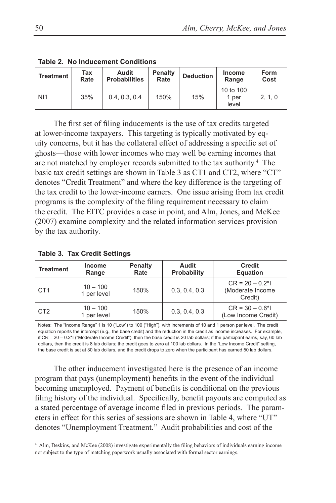| <b>Treatment</b> | Tax<br>Rate | Audit<br><b>Probabilities</b> | Penalty<br>Rate | <b>Deduction</b> | <b>Income</b><br>Range      | <b>Form</b><br>Cost |
|------------------|-------------|-------------------------------|-----------------|------------------|-----------------------------|---------------------|
| N <sub>11</sub>  | 35%         | 0.4.0.3.0.4                   | 150%            | 15%              | 10 to 100<br>1 per<br>level | 2, 1, 0             |

**Table 2. No Inducement Conditions**

The first set of filing inducements is the use of tax credits targeted at lower-income taxpayers. This targeting is typically motivated by equity concerns, but it has the collateral effect of addressing a specific set of ghosts—those with lower incomes who may well be earning incomes that are not matched by employer records submitted to the tax authority.<sup>4</sup> The basic tax credit settings are shown in Table 3 as CT1 and CT2, where "CT" denotes "Credit Treatment" and where the key difference is the targeting of the tax credit to the lower-income earners. One issue arising from tax credit programs is the complexity of the filing requirement necessary to claim the credit. The EITC provides a case in point, and Alm, Jones, and McKee (2007) examine complexity and the related information services provision by the tax authority.

| <b>Treatment</b> | <b>Income</b><br>Range    | <b>Penalty</b><br>Rate | Audit<br><b>Probability</b> | <b>Credit</b><br><b>Equation</b>                      |
|------------------|---------------------------|------------------------|-----------------------------|-------------------------------------------------------|
| CT <sub>1</sub>  | $10 - 100$<br>1 per level | 150%                   | 0.3, 0.4, 0.3               | $CR = 20 - 0.2$ *l<br>(Moderate Income)<br>Credit)    |
| CT <sub>2</sub>  | $10 - 100$<br>1 per level | 150%                   | 0.3, 0.4, 0.3               | $CR = 30 - 0.6$ <sup>*</sup> l<br>(Low Income Credit) |

**Table 3. Tax Credit Settings**

Notes: The "Income Range" 1 is 10 ("Low") to 100 ("High"), with increments of 10 and 1 person per level. The credit equation reports the intercept (e.g., the base credit) and the reduction in the credit as income increases. For example, if CR = 20 – 0.2\*I ("Moderate Income Credit"), then the base credit is 20 lab dollars; if the participant earns, say, 60 lab dollars, then the credit is 8 lab dollars; the credit goes to zero at 100 lab dollars. In the "Low Income Credit" setting, the base credit is set at 30 lab dollars, and the credit drops to zero when the participant has earned 50 lab dollars.

The other inducement investigated here is the presence of an income program that pays (unemployment) benefits in the event of the individual becoming unemployed. Payment of benefits is conditional on the previous filing history of the individual. Specifically, benefit payouts are computed as a stated percentage of average income filed in previous periods. The parameters in effect for this series of sessions are shown in Table 4, where "UT" denotes "Unemployment Treatment." Audit probabilities and cost of the

<sup>4</sup> Alm, Deskins, and McKee (2008) investigate experimentally the filing behaviors of individuals earning income not subject to the type of matching paperwork usually associated with formal sector earnings.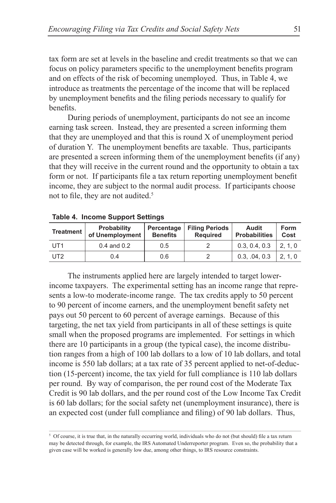tax form are set at levels in the baseline and credit treatments so that we can focus on policy parameters specific to the unemployment benefits program and on effects of the risk of becoming unemployed. Thus, in Table 4, we introduce as treatments the percentage of the income that will be replaced by unemployment benefits and the filing periods necessary to qualify for benefits.

During periods of unemployment, participants do not see an income earning task screen. Instead, they are presented a screen informing them that they are unemployed and that this is round X of unemployment period of duration Y. The unemployment benefits are taxable. Thus, participants are presented a screen informing them of the unemployment benefits (if any) that they will receive in the current round and the opportunity to obtain a tax form or not. If participants file a tax return reporting unemployment benefit income, they are subject to the normal audit process. If participants choose not to file, they are not audited.<sup>5</sup>

| Treatment       | Probability<br>of Unemployment | Percentage<br><b>Benefits</b> | <b>Filing Periods</b><br><b>Required</b> | Audit<br><b>Probabilities</b> | Form<br>Cost |
|-----------------|--------------------------------|-------------------------------|------------------------------------------|-------------------------------|--------------|
| UT1             | $0.4$ and $0.2$                | 0.5                           |                                          | 0.3, 0.4, 0.3                 | 1, 2, 1, 0   |
| UT <sub>2</sub> | 0.4                            | 0.6                           |                                          | 0.3, .04, 0.3                 | 2.1.0        |

|  |  | Table 4. Income Support Settings |  |
|--|--|----------------------------------|--|
|--|--|----------------------------------|--|

The instruments applied here are largely intended to target lowerincome taxpayers. The experimental setting has an income range that represents a low-to moderate-income range. The tax credits apply to 50 percent to 90 percent of income earners, and the unemployment benefit safety net pays out 50 percent to 60 percent of average earnings. Because of this targeting, the net tax yield from participants in all of these settings is quite small when the proposed programs are implemented. For settings in which there are 10 participants in a group (the typical case), the income distribution ranges from a high of 100 lab dollars to a low of 10 lab dollars, and total income is 550 lab dollars; at a tax rate of 35 percent applied to net-of-deduction (15-percent) income, the tax yield for full compliance is 110 lab dollars per round. By way of comparison, the per round cost of the Moderate Tax Credit is 90 lab dollars, and the per round cost of the Low Income Tax Credit is 60 lab dollars; for the social safety net (unemployment insurance), there is an expected cost (under full compliance and filing) of 90 lab dollars. Thus,

<sup>&</sup>lt;sup>5</sup> Of course, it is true that, in the naturally occurring world, individuals who do not (but should) file a tax return may be detected through, for example, the IRS Automated Underreporter program. Even so, the probability that a given case will be worked is generally low due, among other things, to IRS resource constraints.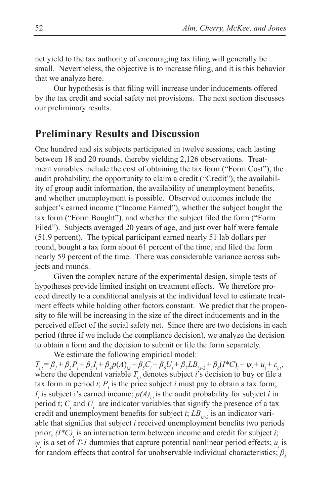net yield to the tax authority of encouraging tax filing will generally be small. Nevertheless, the objective is to increase filing, and it is this behavior that we analyze here.

Our hypothesis is that filing will increase under inducements offered by the tax credit and social safety net provisions. The next section discusses our preliminary results.

#### **Preliminary Results and Discussion**

One hundred and six subjects participated in twelve sessions, each lasting between 18 and 20 rounds, thereby yielding 2,126 observations. Treatment variables include the cost of obtaining the tax form ("Form Cost"), the audit probability, the opportunity to claim a credit ("Credit"), the availability of group audit information, the availability of unemployment benefits, and whether unemployment is possible. Observed outcomes include the subject's earned income ("Income Earned"), whether the subject bought the tax form ("Form Bought"), and whether the subject filed the form ("Form Filed"). Subjects averaged 20 years of age, and just over half were female (51.9 percent). The typical participant earned nearly 51 lab dollars per round, bought a tax form about 61 percent of the time, and filed the form nearly 59 percent of the time. There was considerable variance across subjects and rounds.

Given the complex nature of the experimental design, simple tests of hypotheses provide limited insight on treatment effects. We therefore proceed directly to a conditional analysis at the individual level to estimate treatment effects while holding other factors constant. We predict that the propensity to file will be increasing in the size of the direct inducements and in the perceived effect of the social safety net. Since there are two decisions in each period (three if we include the compliance decision), we analyze the decision to obtain a form and the decision to submit or file the form separately.

We estimate the following empirical model:

 $T_{i,t} = \beta_1 + \beta_2 P_i + \beta_3 I_i + \beta_4 p(A)_{i,t} + \beta_5 C_i + \beta_6 U_i + \beta_7 L B_{i,t-2} + \beta_8 (I^* C)_i + \psi_t + u_i + \varepsilon_{i,t}$ where the dependent variable  $T_{i,t}$  denotes subject *i*'s decision to buy or file a tax form in period *t*;  $P_i$  is the price subject *i* must pay to obtain a tax form;  $I_i$  is subject i's earned income;  $p(A)$ <sub>i,t</sub> is the audit probability for subject *i* in period t;  $C_i$  and  $U_i$  are indicator variables that signify the presence of a tax credit and unemployment benefits for subject  $i$ ;  $LB_{i,t-2}$  is an indicator variable that signifies that subject *i* received unemployment benefits two periods prior;  $(I^*C)$  is an interaction term between income and credit for subject *i*;  $\psi_t$  is a set of *T-1* dummies that capture potential nonlinear period effects;  $u_i$  is for random effects that control for unobservable individual characteristics;  $\beta$ <sup>*1*</sup>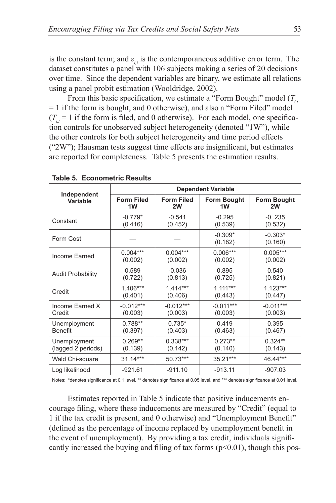is the constant term; and  $\varepsilon_i$  is the contemporaneous additive error term. The dataset constitutes a panel with 106 subjects making a series of 20 decisions over time. Since the dependent variables are binary, we estimate all relations using a panel probit estimation (Wooldridge, 2002).

From this basic specification, we estimate a "Form Bought" model ( $T_{i,t}$ ) = 1 if the form is bought, and 0 otherwise), and also a "Form Filed" model  $(T_{i} = 1$  if the form is filed, and 0 otherwise). For each model, one specification controls for unobserved subject heterogeneity (denoted "1W"), while the other controls for both subject heterogeneity and time period effects ("2W"); Hausman tests suggest time effects are insignificant, but estimates are reported for completeness. Table 5 presents the estimation results.

|                          | <b>Dependent Variable</b> |                   |                      |                      |  |
|--------------------------|---------------------------|-------------------|----------------------|----------------------|--|
| Independent              | <b>Form Filed</b>         | <b>Form Filed</b> | <b>Form Bought</b>   | <b>Form Bought</b>   |  |
| Variable                 | 1W                        | 2W                | 1W                   | 2W                   |  |
| Constant                 | $-0.779*$                 | $-0.541$          | $-0.295$             | $-0.235$             |  |
|                          | (0.416)                   | (0.452)           | (0.539)              | (0.532)              |  |
| Form Cost                |                           |                   | $-0.309*$<br>(0.182) | $-0.303*$<br>(0.160) |  |
| Income Earned            | $0.004***$                | $0.004***$        | $0.006***$           | $0.005***$           |  |
|                          | (0.002)                   | (0.002)           | (0.002)              | (0.002)              |  |
| <b>Audit Probability</b> | 0.589                     | $-0.036$          | 0.895                | 0.540                |  |
|                          | (0.722)                   | (0.813)           | (0.725)              | (0.821)              |  |
| Credit                   | $1.406***$                | $1414***$         | $1.111***$           | $1.123***$           |  |
|                          | (0.401)                   | (0.406)           | (0.443)              | (0.447)              |  |
| Income Earned X          | $-0.012***$               | $-0.012***$       | $-0.011***$          | $-0.011***$          |  |
| Credit                   | (0.003)                   | (0.003)           | (0.003)              | (0.003)              |  |
| Unemployment             | $0.788**$                 | $0.735*$          | 0.419                | 0.395                |  |
| <b>Benefit</b>           | (0.397)                   | (0.403)           | (0.463)              | (0.467)              |  |
| Unemployment             | $0.269**$                 | $0.338***$        | $0.273**$            | $0.324**$            |  |
| (lagged 2 periods)       | (0.139)                   | (0.142)           | (0.140)              | (0.143)              |  |
| Wald Chi-square          | $31.14***$                | 50.73***          | $35.21***$           | 46.44***             |  |
| Log likelihood           | $-921.61$                 | $-911.10$         | $-913.11$            | $-907.03$            |  |

**Table 5. Econometric Results**

Notes: \*denotes significance at 0.1 level, \*\* denotes significance at 0.05 level, and \*\*\* denotes significance at 0.01 level.

Estimates reported in Table 5 indicate that positive inducements encourage filing, where these inducements are measured by "Credit" (equal to 1 if the tax credit is present, and 0 otherwise) and "Unemployment Benefit" (defined as the percentage of income replaced by unemployment benefit in the event of unemployment). By providing a tax credit, individuals significantly increased the buying and filing of tax forms  $(p<0.01)$ , though this pos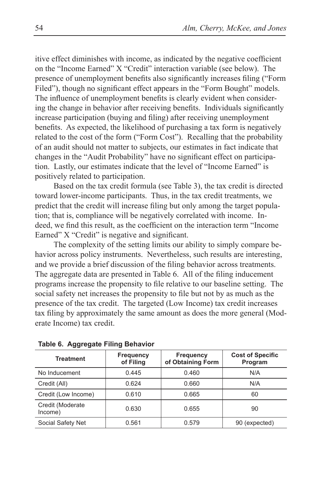itive effect diminishes with income, as indicated by the negative coefficient on the "Income Earned" X "Credit" interaction variable (see below). The presence of unemployment benefits also significantly increases filing ("Form Filed"), though no significant effect appears in the "Form Bought" models. The influence of unemployment benefits is clearly evident when considering the change in behavior after receiving benefits. Individuals significantly increase participation (buying and filing) after receiving unemployment benefits. As expected, the likelihood of purchasing a tax form is negatively related to the cost of the form ("Form Cost"). Recalling that the probability of an audit should not matter to subjects, our estimates in fact indicate that changes in the "Audit Probability" have no significant effect on participation. Lastly, our estimates indicate that the level of "Income Earned" is positively related to participation.

Based on the tax credit formula (see Table 3), the tax credit is directed toward lower-income participants. Thus, in the tax credit treatments, we predict that the credit will increase filing but only among the target population; that is, compliance will be negatively correlated with income. Indeed, we find this result, as the coefficient on the interaction term "Income Earned" X "Credit" is negative and significant.

The complexity of the setting limits our ability to simply compare behavior across policy instruments. Nevertheless, such results are interesting, and we provide a brief discussion of the filing behavior across treatments. The aggregate data are presented in Table 6. All of the filing inducement programs increase the propensity to file relative to our baseline setting. The social safety net increases the propensity to file but not by as much as the presence of the tax credit. The targeted (Low Income) tax credit increases tax filing by approximately the same amount as does the more general (Moderate Income) tax credit.

| Treatment                   | Frequency<br>of Filing | <b>Frequency</b><br>of Obtaining Form | <b>Cost of Specific</b><br>Program |
|-----------------------------|------------------------|---------------------------------------|------------------------------------|
| No Inducement               | 0.445                  | 0.460                                 | N/A                                |
| Credit (All)                | 0.624                  | 0.660                                 | N/A                                |
| Credit (Low Income)         | 0.610                  | 0.665                                 | 60                                 |
| Credit (Moderate<br>Income) | 0.630                  | 0.655                                 | 90                                 |
| Social Safety Net           | 0.561                  | 0.579                                 | 90 (expected)                      |

**Table 6. Aggregate Filing Behavior**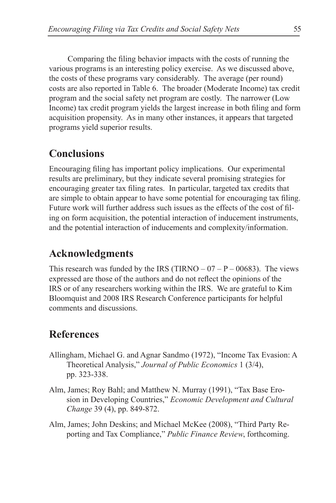Comparing the filing behavior impacts with the costs of running the various programs is an interesting policy exercise. As we discussed above, the costs of these programs vary considerably. The average (per round) costs are also reported in Table 6. The broader (Moderate Income) tax credit program and the social safety net program are costly. The narrower (Low Income) tax credit program yields the largest increase in both filing and form acquisition propensity. As in many other instances, it appears that targeted programs yield superior results.

### **Conclusions**

Encouraging filing has important policy implications. Our experimental results are preliminary, but they indicate several promising strategies for encouraging greater tax filing rates. In particular, targeted tax credits that are simple to obtain appear to have some potential for encouraging tax filing. Future work will further address such issues as the effects of the cost of filing on form acquisition, the potential interaction of inducement instruments, and the potential interaction of inducements and complexity/information.

# **Acknowledgments**

This research was funded by the IRS (TIRNO –  $07 - P - 00683$ ). The views expressed are those of the authors and do not reflect the opinions of the IRS or of any researchers working within the IRS. We are grateful to Kim Bloomquist and 2008 IRS Research Conference participants for helpful comments and discussions.

#### **References**

- Allingham, Michael G. and Agnar Sandmo (1972), "Income Tax Evasion: A Theoretical Analysis," *Journal of Public Economics* 1 (3/4), pp. 323-338.
- Alm, James; Roy Bahl; and Matthew N. Murray (1991), "Tax Base Erosion in Developing Countries," *Economic Development and Cultural Change* 39 (4), pp. 849-872.
- Alm, James; John Deskins; and Michael McKee (2008), "Third Party Reporting and Tax Compliance," *Public Finance Review*, forthcoming.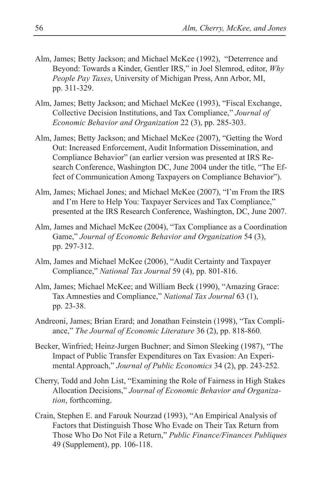- Alm, James; Betty Jackson; and Michael McKee (1992), "Deterrence and Beyond: Towards a Kinder, Gentler IRS," in Joel Slemrod, editor, *Why People Pay Taxes*, University of Michigan Press, Ann Arbor, MI, pp. 311-329.
- Alm, James; Betty Jackson; and Michael McKee (1993), "Fiscal Exchange, Collective Decision Institutions, and Tax Compliance," *Journal of Economic Behavior and Organization* 22 (3), pp. 285-303.
- Alm, James; Betty Jackson; and Michael McKee (2007), "Getting the Word Out: Increased Enforcement, Audit Information Dissemination, and Compliance Behavior" (an earlier version was presented at IRS Research Conference, Washington DC, June 2004 under the title, "The Effect of Communication Among Taxpayers on Compliance Behavior").
- Alm, James; Michael Jones; and Michael McKee (2007), "I'm From the IRS and I'm Here to Help You: Taxpayer Services and Tax Compliance," presented at the IRS Research Conference, Washington, DC, June 2007.
- Alm, James and Michael McKee (2004), "Tax Compliance as a Coordination Game," *Journal of Economic Behavior and Organization* 54 (3), pp. 297-312.
- Alm, James and Michael McKee (2006), "Audit Certainty and Taxpayer Compliance," *National Tax Journal* 59 (4), pp. 801-816.
- Alm, James; Michael McKee; and William Beck (1990), "Amazing Grace: Tax Amnesties and Compliance," *National Tax Journal* 63 (1), pp. 23-38.
- Andreoni, James; Brian Erard; and Jonathan Feinstein (1998), "Tax Compliance," *The Journal of Economic Literature* 36 (2), pp. 818-860.
- Becker, Winfried; Heinz-Jurgen Buchner; and Simon Sleeking (1987), "The Impact of Public Transfer Expenditures on Tax Evasion: An Experimental Approach," *Journal of Public Economics* 34 (2), pp. 243-252.
- Cherry, Todd and John List, "Examining the Role of Fairness in High Stakes Allocation Decisions," *Journal of Economic Behavior and Organization*, forthcoming.
- Crain, Stephen E. and Farouk Nourzad (1993), "An Empirical Analysis of Factors that Distinguish Those Who Evade on Their Tax Return from Those Who Do Not File a Return," *Public Finance/Finances Publiques* 49 (Supplement), pp. 106-118.